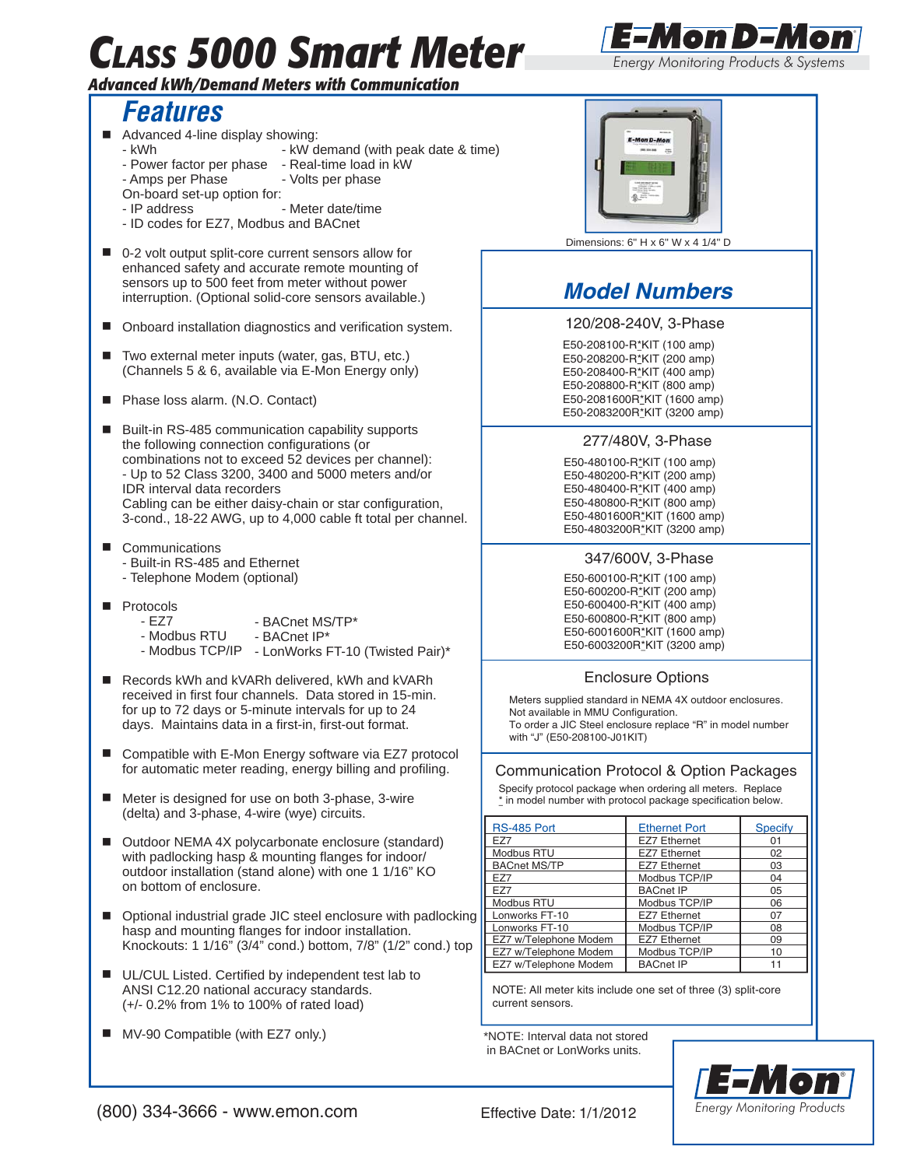# *CLASS 5000 Smart Meter*

#### *Advanced kWh/Demand Meters with Communication*

## *Features*

- Advanced 4-line display showing:
	- kWh  $-$  kW demand (with peak date & time)
	- Power factor per phase Real-time load in kW
	- Amps per Phase Volts per phase
	- On-board set-up option for:
	- IP address Meter date/time
	- ID codes for EZ7, Modbus and BACnet
- 0-2 volt output split-core current sensors allow for enhanced safety and accurate remote mounting of sensors up to 500 feet from meter without power interruption. (Optional solid-core sensors available.)
- Onboard installation diagnostics and verification system.
- Two external meter inputs (water, gas, BTU, etc.) (Channels 5 & 6, available via E-Mon Energy only)
- Phase loss alarm. (N.O. Contact)
- Built-in RS-485 communication capability supports the following connection configurations (or combinations not to exceed 52 devices per channel): - Up to 52 Class 3200, 3400 and 5000 meters and/or IDR interval data recorders Cabling can be either daisy-chain or star configuration, 3-cond., 18-22 AWG, up to 4,000 cable ft total per channel.
- Communications
	- Built-in RS-485 and Ethernet
	- Telephone Modem (optional)
- **Protocols** 
	- EZ7 - BACnet MS/TP\*
	- Modbus RTU - BACnet IP\*
	- Modbus TCP/IP LonWorks FT-10 (Twisted Pair)\*
- Records kWh and kVARh delivered, kWh and kVARh received in first four channels. Data stored in 15-min. for up to 72 days or 5-minute intervals for up to 24 days. Maintains data in a first-in, first-out format.
- Compatible with E-Mon Energy software via EZ7 protocol for automatic meter reading, energy billing and profiling.
- Meter is designed for use on both 3-phase, 3-wire (delta) and 3-phase, 4-wire (wye) circuits.
- Outdoor NEMA 4X polycarbonate enclosure (standard) with padlocking hasp & mounting flanges for indoor/ outdoor installation (stand alone) with one 1 1/16" KO on bottom of enclosure.
- Optional industrial grade JIC steel enclosure with padlocking hasp and mounting flanges for indoor installation. Knockouts: 1 1/16" (3/4" cond.) bottom, 7/8" (1/2" cond.) top
- UL/CUL Listed. Certified by independent test lab to ANSI C12.20 national accuracy standards. (+/- 0.2% from 1% to 100% of rated load)
- MV-90 Compatible (with EZ7 only.)



Dimensions: 6" H x 6" W x 4 1/4" D

## *Model Numbers*

#### 120/208-240V, 3-Phase

E50-208100-R<sup>\*</sup>KIT (100 amp) E50-208200-R\*KIT (200 amp) E50-208400-R<sup>\*</sup>KIT (400 amp) E50-208800-R\*KIT (800 amp) E50-2081600R\*KIT (1600 amp) E50-2083200R\*KIT (3200 amp)

#### 277/480V, 3-Phase

E50-480100-R\*KIT (100 amp) E50-480200-R\*KIT (200 amp) E50-480400-R\*KIT (400 amp) E50-480800-R\*KIT (800 amp) E50-4801600R\*KIT (1600 amp) E50-4803200R\*KIT (3200 amp)

#### 347/600V, 3-Phase

E50-600100-R\*KIT (100 amp) E50-600200-R\*KIT (200 amp) E50-600400-R\*KIT (400 amp) E50-600800-R\*KIT (800 amp) E50-6001600R\*KIT (1600 amp) E50-6003200R\*KIT (3200 amp)

#### Enclosure Options

Meters supplied standard in NEMA 4X outdoor enclosures. Not available in MMU Configuration. To order a JIC Steel enclosure replace "R" in model number with "J" (E50-208100-J01KIT)

#### Communication Protocol & Option Packages

 Specify protocol package when ordering all meters. Replace \* in model number with protocol package specification below.

| <b>RS-485 Port</b>    | <b>Ethernet Port</b> | <b>Specify</b> |
|-----------------------|----------------------|----------------|
| F77                   | <b>EZ7 Ethernet</b>  | 01             |
| Modbus RTU            | <b>EZ7 Ethernet</b>  | 02             |
| <b>BACnet MS/TP</b>   | <b>EZ7 Ethernet</b>  | 03             |
| F77                   | Modbus TCP/IP        | 04             |
| F77                   | <b>BACnet IP</b>     | 05             |
| Modbus RTU            | Modbus TCP/IP        | 06             |
| Lonworks FT-10        | <b>EZ7 Ethernet</b>  | 07             |
| Lonworks FT-10        | Modbus TCP/IP        | 08             |
| EZ7 w/Telephone Modem | <b>EZ7 Ethernet</b>  | 09             |
| EZ7 w/Telephone Modem | Modbus TCP/IP        | 10             |
| EZ7 w/Telephone Modem | <b>BACnet IP</b>     |                |

NOTE: All meter kits include one set of three (3) split-core current sensors.

\*NOTE: Interval data not stored in BACnet or LonWorks units.







®

*Energy Monitoring Products & Systems*